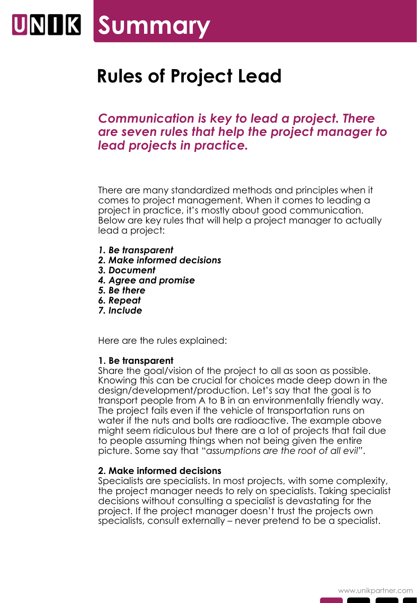### UNIIK Summary

### **Rules of Project Lead**

### *Communication is key to lead a project. There are seven rules that help the project manager to lead projects in practice.*

There are many standardized methods and principles when it comes to project management. When it comes to leading a project in practice, it's mostly about good communication. Below are key rules that will help a project manager to actually lead a project:

- *1. Be transparent*
- *2. Make informed decisions*
- *3. Document*
- *4. Agree and promise*
- *5. Be there*
- *6. Repeat*
- *7. Include*

Here are the rules explained:

#### **1. Be transparent**

Share the goal/vision of the project to all as soon as possible. Knowing this can be crucial for choices made deep down in the design/development/production. Let's say that the goal is to transport people from A to B in an environmentally friendly way. The project fails even if the vehicle of transportation runs on water if the nuts and bolts are radioactive. The example above might seem ridiculous but there are a lot of projects that fail due to people assuming things when not being given the entire picture. Some say that "*assumptions are the root of all evil"*.

#### **2. Make informed decisions**

Specialists are specialists. In most projects, with some complexity, the project manager needs to rely on specialists. Taking specialist decisions without consulting a specialist is devastating for the project. If the project manager doesn't trust the projects own specialists, consult externally – never pretend to be a specialist.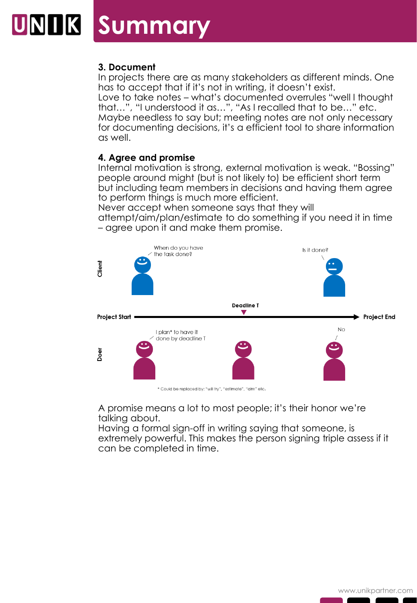## **UNIK Summary**

#### **3. Document**

In projects there are as many stakeholders as different minds. One has to accept that if it's not in writing, it doesn't exist.

Love to take notes – what's documented overrules "well I thought that…", "I understood it as…", "As I recalled that to be…" etc. Maybe needless to say but; meeting notes are not only necessary for documenting decisions, it's a efficient tool to share information as well.

#### **4. Agree and promise**

Internal motivation is strong, external motivation is weak. "Bossing" people around might (but is not likely to) be efficient short term but including team members in decisions and having them agree to perform things is much more efficient.

Never accept when someone says that they will attempt/aim/plan/estimate to do something if you need it in time

– agree upon it and make them promise.



A promise means a lot to most people; it's their honor we're talking about.

Having a formal sign-off in writing saying that someone, is extremely powerful. This makes the person signing triple assess if it can be completed in time.